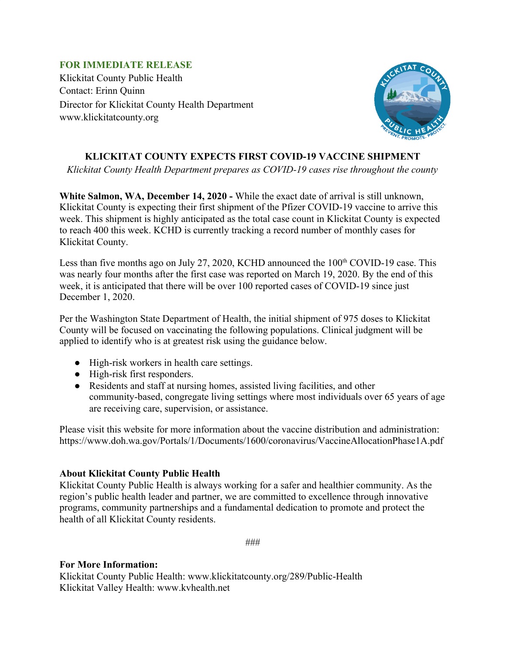## **FOR IMMEDIATE RELEASE**

Klickitat County Public Health Contact: Erinn Quinn Director for Klickitat County Health Department www.klickitatcounty.org



## **KLICKITAT COUNTY EXPECTS FIRST COVID-19 VACCINE SHIPMENT**

*Klickitat County Health Department prepares as COVID-19 cases rise throughout the county*

**White Salmon, WA, December 14, 2020 -** While the exact date of arrival is still unknown, Klickitat County is expecting their first shipment of the Pfizer COVID-19 vaccine to arrive this week. This shipment is highly anticipated as the total case count in Klickitat County is expected to reach 400 this week. KCHD is currently tracking a record number of monthly cases for Klickitat County.

Less than five months ago on July 27, 2020, KCHD announced the  $100<sup>th</sup>$  COVID-19 case. This was nearly four months after the first case was reported on March 19, 2020. By the end of this week, it is anticipated that there will be over 100 reported cases of COVID-19 since just December 1, 2020.

Per the Washington State Department of Health, the initial shipment of 975 doses to Klickitat County will be focused on vaccinating the following populations. Clinical judgment will be applied to identify who is at greatest risk using the guidance below.

- High-risk workers in health care settings.
- High-risk first responders.
- Residents and staff at nursing homes, assisted living facilities, and other community-based, congregate living settings where most individuals over 65 years of age are receiving care, supervision, or assistance.

Please visit this website for more information about the vaccine distribution and administration: https://www.doh.wa.gov/Portals/1/Documents/1600/coronavirus/VaccineAllocationPhase1A.pdf

## **About Klickitat County Public Health**

Klickitat County Public Health is always working for a safer and healthier community. As the region's public health leader and partner, we are committed to excellence through innovative programs, community partnerships and a fundamental dedication to promote and protect the health of all Klickitat County residents.

###

## **For More Information:**

Klickitat County Public Health: www.klickitatcounty.org/289/Public-Health Klickitat Valley Health: www.kvhealth.net